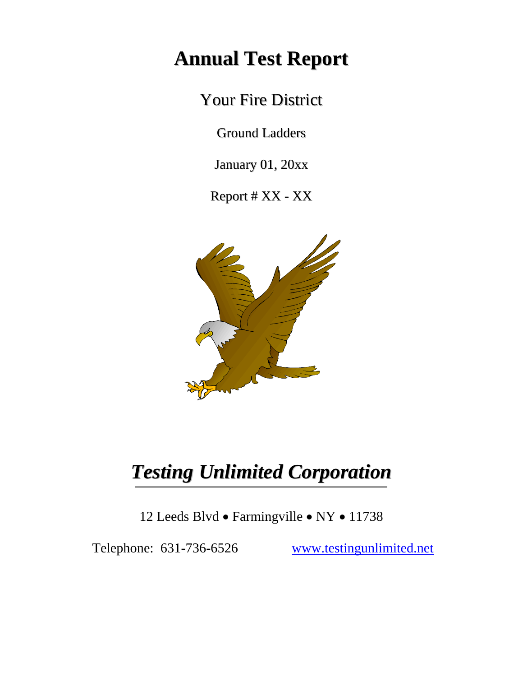# **Annual Test Report**

Your Fire District

Ground Ladders

January 01, 20xx

Report # XX - XX



# *Testing Unlimited Corporation*

12 Leeds Blvd • Farmingville • NY • 11738

Telephone: 631-736-6526 www.testingunlimited.net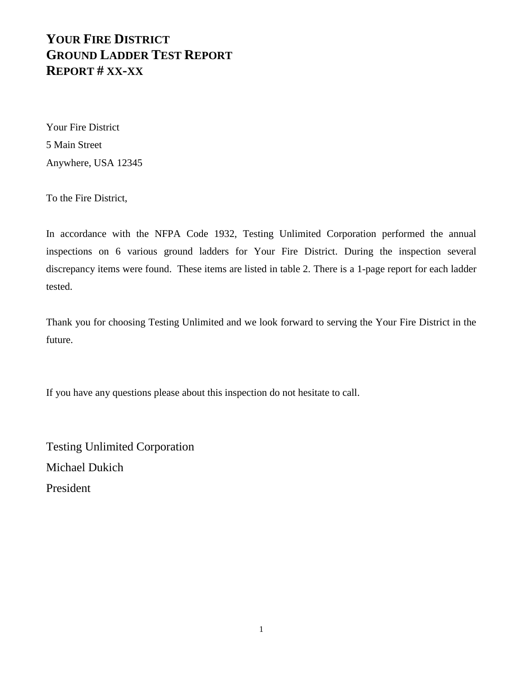Your Fire District 5 Main Street Anywhere, USA 12345

To the Fire District,

In accordance with the NFPA Code 1932, Testing Unlimited Corporation performed the annual inspections on 6 various ground ladders for Your Fire District. During the inspection several discrepancy items were found. These items are listed in table 2. There is a 1-page report for each ladder tested.

Thank you for choosing Testing Unlimited and we look forward to serving the Your Fire District in the future.

If you have any questions please about this inspection do not hesitate to call.

Testing Unlimited Corporation Michael Dukich President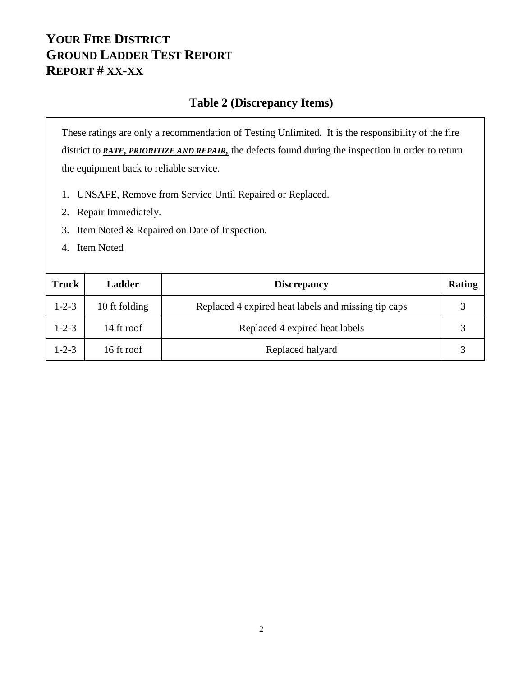#### **Table 2 (Discrepancy Items)**

These ratings are only a recommendation of Testing Unlimited. It is the responsibility of the fire district to *RATE, PRIORITIZE AND REPAIR,* the defects found during the inspection in order to return the equipment back to reliable service.

- 1. UNSAFE, Remove from Service Until Repaired or Replaced.
- 2. Repair Immediately.
- 3. Item Noted & Repaired on Date of Inspection.
- 4. Item Noted

| Truck       | <b>Ladder</b> | <b>Discrepancy</b>                                  | Rating |
|-------------|---------------|-----------------------------------------------------|--------|
| $1 - 2 - 3$ | 10 ft folding | Replaced 4 expired heat labels and missing tip caps |        |
| $1 - 2 - 3$ | 14 ft roof    | Replaced 4 expired heat labels                      |        |
| $1 - 2 - 3$ | 16 ft roof    | Replaced halyard                                    |        |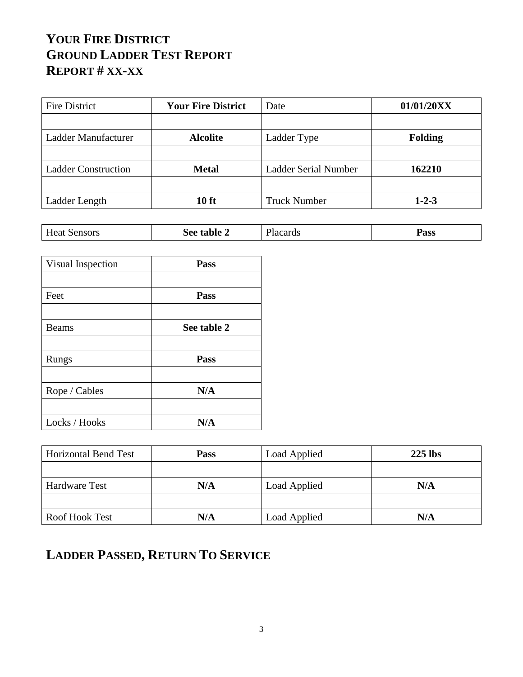| Fire District              | <b>Your Fire District</b> | Date                        | 01/01/20XX     |
|----------------------------|---------------------------|-----------------------------|----------------|
|                            |                           |                             |                |
| Ladder Manufacturer        | <b>Alcolite</b>           | Ladder Type                 | <b>Folding</b> |
|                            |                           |                             |                |
| <b>Ladder Construction</b> | <b>Metal</b>              | <b>Ladder Serial Number</b> | 162210         |
|                            |                           |                             |                |
| Ladder Length              | <b>10 ft</b>              | <b>Truck Number</b>         | $1 - 2 - 3$    |

| .<br>___ | $ -$<br>Sensors<br>Heat | → table ⊥<br>$\mathcal{\mathsf{a}}$ ee | T <sub>1</sub><br>lacards! | Pass |
|----------|-------------------------|----------------------------------------|----------------------------|------|
|----------|-------------------------|----------------------------------------|----------------------------|------|

| Visual Inspection | Pass        |  |
|-------------------|-------------|--|
|                   |             |  |
| Feet              | Pass        |  |
|                   |             |  |
| <b>Beams</b>      | See table 2 |  |
|                   |             |  |
| Rungs             | Pass        |  |
|                   |             |  |
| Rope / Cables     | N/A         |  |
|                   |             |  |
| Locks / Hooks     | N/A         |  |

| <b>Horizontal Bend Test</b> | <b>Pass</b> | <b>Load Applied</b> | $225$ lbs |
|-----------------------------|-------------|---------------------|-----------|
|                             |             |                     |           |
| Hardware Test               | N/A         | Load Applied        | N/A       |
|                             |             |                     |           |
| Roof Hook Test              | N/A         | Load Applied        | N/A       |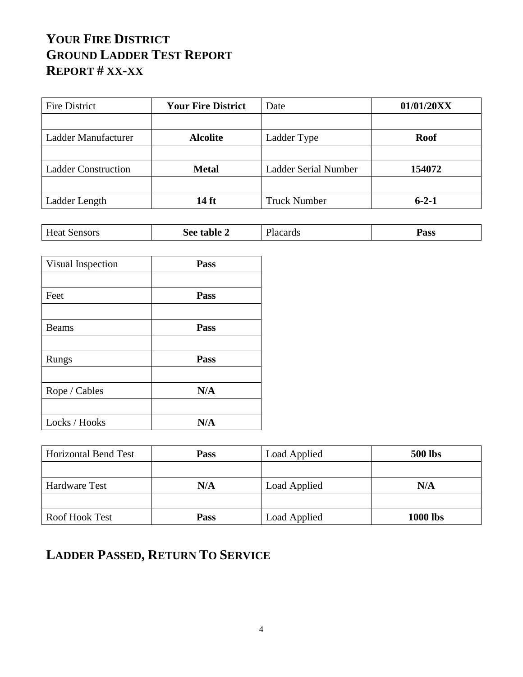| <b>Fire District</b>       | <b>Your Fire District</b> | Date                 | 01/01/20XX  |
|----------------------------|---------------------------|----------------------|-------------|
|                            |                           |                      |             |
| Ladder Manufacturer        | <b>Alcolite</b>           | Ladder Type          | <b>Roof</b> |
|                            |                           |                      |             |
| <b>Ladder Construction</b> | <b>Metal</b>              | Ladder Serial Number | 154072      |
|                            |                           |                      |             |
| Ladder Length              | 14 ft                     | <b>Truck Number</b>  | $6 - 2 - 1$ |

| $ -$<br>Heat<br>Sensors<br>dable ⊥<br>S <sub>ee</sub> | T <sub>1</sub><br>lacards | Pass |
|-------------------------------------------------------|---------------------------|------|
|-------------------------------------------------------|---------------------------|------|

| Visual Inspection | Pass |
|-------------------|------|
|                   |      |
| Feet              | Pass |
|                   |      |
| <b>Beams</b>      | Pass |
|                   |      |
| Rungs             | Pass |
|                   |      |
| Rope / Cables     | N/A  |
|                   |      |
| Locks / Hooks     | N/A  |

| <b>Horizontal Bend Test</b> | <b>Pass</b> | <b>Load Applied</b> | <b>500 lbs</b>  |
|-----------------------------|-------------|---------------------|-----------------|
|                             |             |                     |                 |
| Hardware Test               | N/A         | Load Applied        | N/A             |
|                             |             |                     |                 |
| Roof Hook Test              | <b>Pass</b> | Load Applied        | <b>1000 lbs</b> |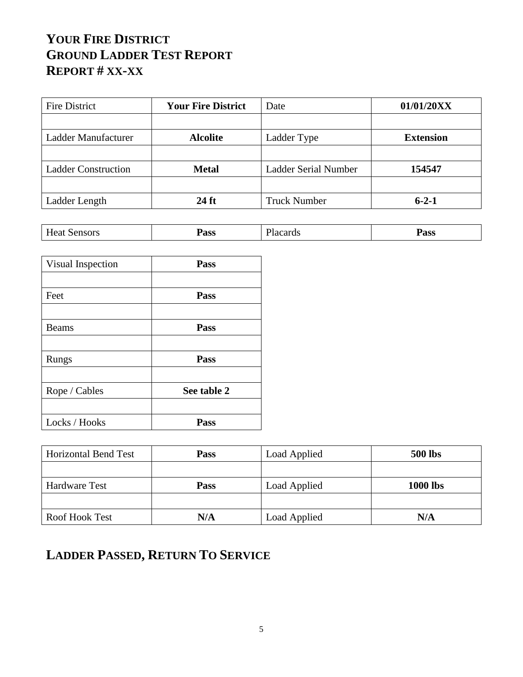| Fire District              | <b>Your Fire District</b> | Date                 | 01/01/20XX       |
|----------------------------|---------------------------|----------------------|------------------|
|                            |                           |                      |                  |
| Ladder Manufacturer        | <b>Alcolite</b>           | Ladder Type          | <b>Extension</b> |
|                            |                           |                      |                  |
| <b>Ladder Construction</b> | <b>Metal</b>              | Ladder Serial Number | 154547           |
|                            |                           |                      |                  |
| Ladder Length              | 24 ft                     | <b>Truck Number</b>  | $6 - 2 - 1$      |

| $\mathbf{r}$<br>Sensors<br><b>Heat</b> | Pass | T.<br>.oorda<br>- 1200<br>sarus | Pass |
|----------------------------------------|------|---------------------------------|------|
|----------------------------------------|------|---------------------------------|------|

| Visual Inspection | Pass        |
|-------------------|-------------|
|                   |             |
| Feet              | Pass        |
|                   |             |
| <b>Beams</b>      | Pass        |
|                   |             |
| Rungs             | Pass        |
|                   |             |
| Rope / Cables     | See table 2 |
|                   |             |
| Locks / Hooks     | Pass        |

| <b>Horizontal Bend Test</b> | <b>Pass</b> | <b>Load Applied</b> | <b>500 lbs</b>  |
|-----------------------------|-------------|---------------------|-----------------|
|                             |             |                     |                 |
| Hardware Test               | <b>Pass</b> | Load Applied        | <b>1000 lbs</b> |
|                             |             |                     |                 |
| Roof Hook Test              | N/A         | Load Applied        | N/A             |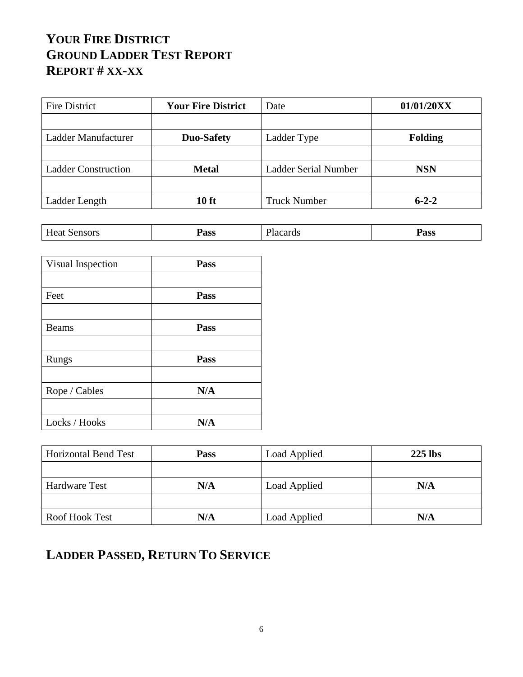| Fire District              | <b>Your Fire District</b> | Date                 | 01/01/20XX     |
|----------------------------|---------------------------|----------------------|----------------|
|                            |                           |                      |                |
| Ladder Manufacturer        | <b>Duo-Safety</b>         | Ladder Type          | <b>Folding</b> |
|                            |                           |                      |                |
| <b>Ladder Construction</b> | <b>Metal</b>              | Ladder Serial Number | <b>NSN</b>     |
|                            |                           |                      |                |
| Ladder Length              | 10 ft                     | <b>Truck Number</b>  | $6 - 2 - 2$    |

| $\mathbf{r}$<br>Sensors<br>Heat | Pass | $\sim$<br>$\cdots$ $\alpha$ $\alpha$ $\alpha$ $\alpha$<br>Tacarus | Pass |
|---------------------------------|------|-------------------------------------------------------------------|------|
|---------------------------------|------|-------------------------------------------------------------------|------|

| Visual Inspection | Pass |
|-------------------|------|
|                   |      |
| Feet              | Pass |
|                   |      |
| <b>Beams</b>      | Pass |
|                   |      |
| Rungs             | Pass |
|                   |      |
| Rope / Cables     | N/A  |
|                   |      |
| Locks / Hooks     | N/A  |

| <b>Horizontal Bend Test</b> | <b>Pass</b> | <b>Load Applied</b> | $225$ lbs |
|-----------------------------|-------------|---------------------|-----------|
|                             |             |                     |           |
| Hardware Test               | N/A         | Load Applied        | N/A       |
|                             |             |                     |           |
| Roof Hook Test              | N/A         | Load Applied        | N/A       |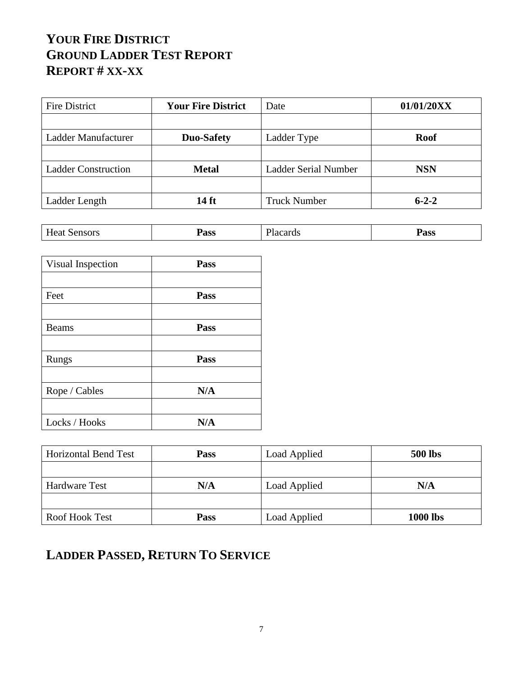| Fire District              | <b>Your Fire District</b> | Date                 | 01/01/20XX  |
|----------------------------|---------------------------|----------------------|-------------|
|                            |                           |                      |             |
| Ladder Manufacturer        | Duo-Safety                | Ladder Type          | <b>Roof</b> |
|                            |                           |                      |             |
| <b>Ladder Construction</b> | <b>Metal</b>              | Ladder Serial Number | <b>NSN</b>  |
|                            |                           |                      |             |
| Ladder Length              | 14 ft                     | <b>Truck Number</b>  | $6 - 2 - 2$ |

| $\mathbf{r}$<br>Sensors<br><b>Heat</b> | Pass | T.<br>.oorda<br>- 1200<br>sarus | Pass |
|----------------------------------------|------|---------------------------------|------|
|----------------------------------------|------|---------------------------------|------|

| Visual Inspection | Pass |
|-------------------|------|
|                   |      |
| Feet              | Pass |
|                   |      |
| <b>Beams</b>      | Pass |
|                   |      |
| Rungs             | Pass |
|                   |      |
| Rope / Cables     | N/A  |
|                   |      |
| Locks / Hooks     | N/A  |

| <b>Horizontal Bend Test</b> | <b>Pass</b> | <b>Load Applied</b> | <b>500 lbs</b>  |
|-----------------------------|-------------|---------------------|-----------------|
|                             |             |                     |                 |
| Hardware Test               | N/A         | Load Applied        | N/A             |
|                             |             |                     |                 |
| Roof Hook Test              | <b>Pass</b> | Load Applied        | <b>1000 lbs</b> |